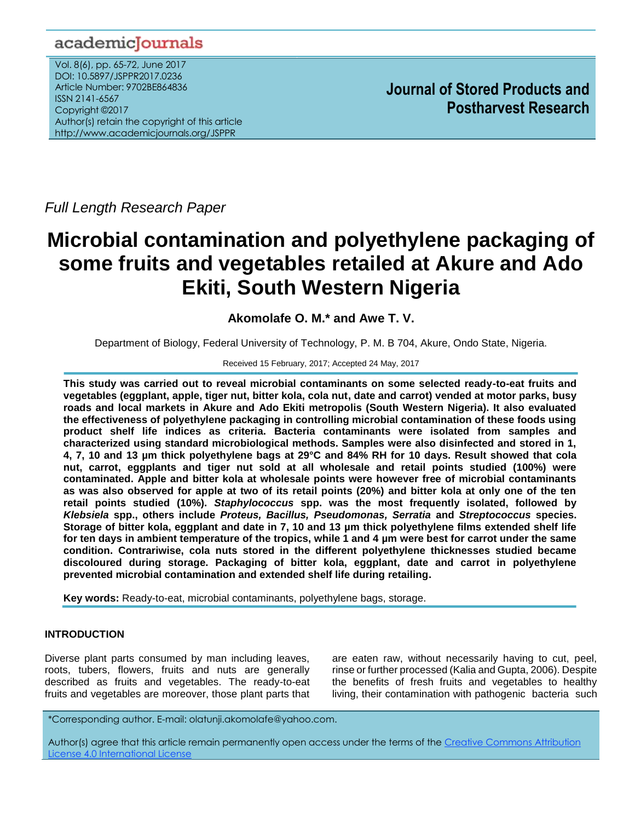# academicJournals

Vol. 8(6), pp. 65-72, June 2017 DOI: 10.5897/JSPPR2017.0236 Article Number: 9702BE864836 ISSN 2141-6567 Copyright ©2017 Author(s) retain the copyright of this article http://www.academicjournals.org/JSPPR

**Journal of Stored Products and Postharvest Research**

*Full Length Research Paper*

# **Microbial contamination and polyethylene packaging of some fruits and vegetables retailed at Akure and Ado Ekiti, South Western Nigeria**

**Akomolafe O. M.\* and Awe T. V.**

Department of Biology, Federal University of Technology, P. M. B 704, Akure, Ondo State, Nigeria.

## Received 15 February, 2017; Accepted 24 May, 2017

**This study was carried out to reveal microbial contaminants on some selected ready-to-eat fruits and vegetables (eggplant, apple, tiger nut, bitter kola, cola nut, date and carrot) vended at motor parks, busy roads and local markets in Akure and Ado Ekiti metropolis (South Western Nigeria). It also evaluated the effectiveness of polyethylene packaging in controlling microbial contamination of these foods using product shelf life indices as criteria. Bacteria contaminants were isolated from samples and characterized using standard microbiological methods. Samples were also disinfected and stored in 1, 4, 7, 10 and 13 µm thick polyethylene bags at 29°C and 84% RH for 10 days. Result showed that cola nut, carrot, eggplants and tiger nut sold at all wholesale and retail points studied (100%) were contaminated. Apple and bitter kola at wholesale points were however free of microbial contaminants as was also observed for apple at two of its retail points (20%) and bitter kola at only one of the ten retail points studied (10%).** *Staphylococcus* **spp. was the most frequently isolated, followed by**  *Klebsiela* **spp., others include** *Proteus, Bacillus, Pseudomonas, Serratia* **and** *Streptococcus* **species. Storage of bitter kola, eggplant and date in 7, 10 and 13 µm thick polyethylene films extended shelf life for ten days in ambient temperature of the tropics, while 1 and 4 µm were best for carrot under the same condition. Contrariwise, cola nuts stored in the different polyethylene thicknesses studied became discoloured during storage. Packaging of bitter kola, eggplant, date and carrot in polyethylene prevented microbial contamination and extended shelf life during retailing.**

**Key words:** Ready-to-eat, microbial contaminants, polyethylene bags, storage.

# **INTRODUCTION**

Diverse plant parts consumed by man including leaves, roots, tubers, flowers, fruits and nuts are generally described as fruits and vegetables. The ready-to-eat fruits and vegetables are moreover, those plant parts that

are eaten raw, without necessarily having to cut, peel, rinse or further processed (Kalia and Gupta, 2006). Despite the benefits of fresh fruits and vegetables to healthy living, their contamination with pathogenic bacteria such

\*Corresponding author. E-mail: olatunji.akomolafe@yahoo.com.

Author(s) agree that this article remain permanently open access under the terms of th[e Creative Commons Attribution](http://creativecommons.org/licenses/by/4.0/deed.en_US)  [License 4.0 International License](http://creativecommons.org/licenses/by/4.0/deed.en_US)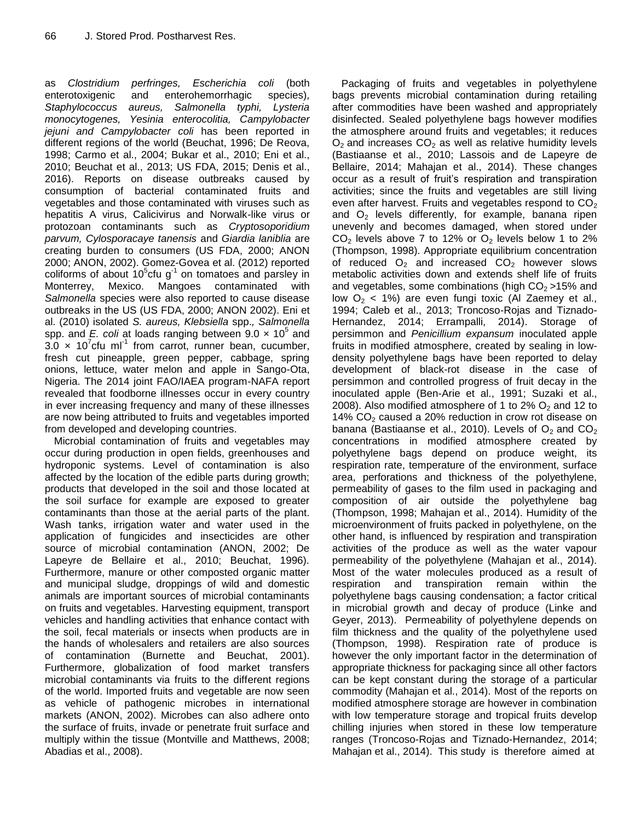as *Clostridium perfringes, Escherichia coli* (both enterotoxigenic and enterohemorrhagic species)*, Staphylococcus aureus, Salmonella typhi, Lysteria monocytogenes, Yesinia enterocolitia, Campylobacter jejuni and Campylobacter coli* has been reported in different regions of the world (Beuchat, 1996; De Reova, 1998; Carmo et al., 2004; Bukar et al., 2010; Eni et al., 2010; Beuchat et al., 2013; US FDA, 2015; Denis et al., 2016). Reports on disease outbreaks caused by consumption of bacterial contaminated fruits and vegetables and those contaminated with viruses such as hepatitis A virus, Calicivirus and Norwalk-like virus or protozoan contaminants such as *Cryptosoporidium parvum, Cylosporacaye tanensis* and *Giardia laniblia* are creating burden to consumers (US FDA, 2000; ANON 2000; ANON, 2002). Gomez-Govea et al. (2012) reported coliforms of about  $10^5$ cfu g<sup>-1</sup> on tomatoes and parsley in Monterrey, Mexico. Mangoes contaminated with *Salmonella* species were also reported to cause disease outbreaks in the US (US FDA, 2000; ANON 2002). Eni et al. (2010) isolated *S. aureus, Klebsiella* spp.*, Salmonella*  spp. and *E. coli* at loads ranging between 9.0 x 10<sup>5</sup> and  $3.0 \times 10^{7}$ cfu ml<sup>-1</sup> from carrot, runner bean, cucumber, fresh cut pineapple, green pepper, cabbage, spring onions, lettuce, water melon and apple in Sango-Ota, Nigeria. The 2014 joint FAO/IAEA program-NAFA report revealed that foodborne illnesses occur in every country in ever increasing frequency and many of these illnesses are now being attributed to fruits and vegetables imported from developed and developing countries.

Microbial contamination of fruits and vegetables may occur during production in open fields, greenhouses and hydroponic systems. Level of contamination is also affected by the location of the edible parts during growth; products that developed in the soil and those located at the soil surface for example are exposed to greater contaminants than those at the aerial parts of the plant. Wash tanks, irrigation water and water used in the application of fungicides and insecticides are other source of microbial contamination (ANON, 2002; De Lapeyre de Bellaire et al., 2010; Beuchat, 1996). Furthermore, manure or other composted organic matter and municipal sludge, droppings of wild and domestic animals are important sources of microbial contaminants on fruits and vegetables. Harvesting equipment, transport vehicles and handling activities that enhance contact with the soil, fecal materials or insects when products are in the hands of wholesalers and retailers are also sources of contamination (Burnette and Beuchat, 2001). Furthermore, globalization of food market transfers microbial contaminants via fruits to the different regions of the world. Imported fruits and vegetable are now seen as vehicle of pathogenic microbes in international markets (ANON, 2002). Microbes can also adhere onto the surface of fruits, invade or penetrate fruit surface and multiply within the tissue (Montville and Matthews, 2008; Abadias et al., 2008).

Packaging of fruits and vegetables in polyethylene bags prevents microbial contamination during retailing after commodities have been washed and appropriately disinfected. Sealed polyethylene bags however modifies the atmosphere around fruits and vegetables; it reduces  $O<sub>2</sub>$  and increases  $CO<sub>2</sub>$  as well as relative humidity levels (Bastiaanse et al., 2010; Lassois and de Lapeyre de Bellaire, 2014; Mahajan et al., 2014). These changes occur as a result of fruit's respiration and transpiration activities; since the fruits and vegetables are still living even after harvest. Fruits and vegetables respond to  $CO<sub>2</sub>$ and  $O<sub>2</sub>$  levels differently, for example, banana ripen unevenly and becomes damaged, when stored under  $CO<sub>2</sub>$  levels above 7 to 12% or  $O<sub>2</sub>$  levels below 1 to 2% (Thompson, 1998). Appropriate equilibrium concentration of reduced  $O_2$  and increased  $CO_2$  however slows metabolic activities down and extends shelf life of fruits and vegetables, some combinations (high  $CO<sub>2</sub> > 15%$  and low  $O<sub>2</sub>$  < 1%) are even fungi toxic (Al Zaemey et al., 1994; Caleb et al., 2013; Troncoso-Rojas and Tiznado-Hernandez, 2014; Errampalli, 2014). Storage of persimmon and *Penicillium expansum* inoculated apple fruits in modified atmosphere, created by sealing in lowdensity polyethylene bags have been reported to delay development of black-rot disease in the case of persimmon and controlled progress of fruit decay in the inoculated apple (Ben-Arie et al., 1991; Suzaki et al., 2008). Also modified atmosphere of 1 to  $2\%$  O<sub>2</sub> and 12 to 14%  $CO<sub>2</sub>$  caused a 20% reduction in crow rot disease on banana (Bastiaanse et al., 2010). Levels of  $O<sub>2</sub>$  and  $CO<sub>2</sub>$ concentrations in modified atmosphere created by polyethylene bags depend on produce weight, its respiration rate, temperature of the environment, surface area, perforations and thickness of the polyethylene, permeability of gases to the film used in packaging and composition of air outside the polyethylene bag (Thompson, 1998; Mahajan et al., 2014). Humidity of the microenvironment of fruits packed in polyethylene, on the other hand, is influenced by respiration and transpiration activities of the produce as well as the water vapour permeability of the polyethylene (Mahajan et al., 2014). Most of the water molecules produced as a result of respiration and transpiration remain within the polyethylene bags causing condensation; a factor critical in microbial growth and decay of produce (Linke and Geyer, 2013). Permeability of polyethylene depends on film thickness and the quality of the polyethylene used (Thompson, 1998). Respiration rate of produce is however the only important factor in the determination of appropriate thickness for packaging since all other factors can be kept constant during the storage of a particular commodity (Mahajan et al., 2014). Most of the reports on modified atmosphere storage are however in combination with low temperature storage and tropical fruits develop chilling injuries when stored in these low temperature ranges (Troncoso-Rojas and Tiznado-Hernandez, 2014; Mahajan et al., 2014). This study is therefore aimed at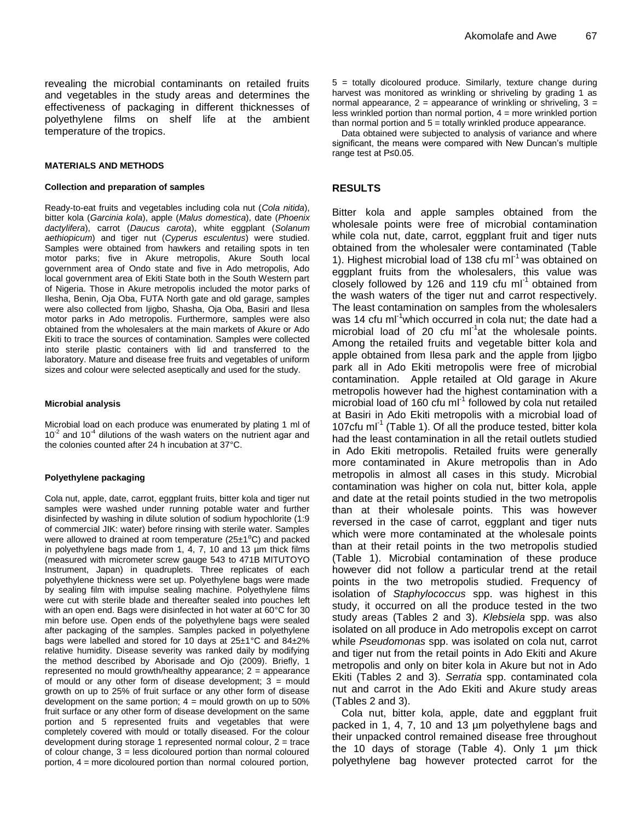revealing the microbial contaminants on retailed fruits and vegetables in the study areas and determines the effectiveness of packaging in different thicknesses of polyethylene films on shelf life at the ambient temperature of the tropics.

#### **MATERIALS AND METHODS**

#### **Collection and preparation of samples**

Ready-to-eat fruits and vegetables including cola nut (*Cola nitida*), bitter kola (*Garcinia kola*), apple (*Malus domestica*), date (*Phoenix dactylifera*), carrot (*Daucus carota*), white eggplant (*Solanum aethiopicum*) and tiger nut (*Cyperus esculentus*) were studied. Samples were obtained from hawkers and retailing spots in ten motor parks; five in Akure metropolis, Akure South local government area of Ondo state and five in Ado metropolis, Ado local government area of Ekiti State both in the South Western part of Nigeria. Those in Akure metropolis included the motor parks of Ilesha, Benin, Oja Oba, FUTA North gate and old garage, samples were also collected from Ijigbo, Shasha, Oja Oba, Basiri and Ilesa motor parks in Ado metropolis. Furthermore, samples were also obtained from the wholesalers at the main markets of Akure or Ado Ekiti to trace the sources of contamination. Samples were collected into sterile plastic containers with lid and transferred to the laboratory. Mature and disease free fruits and vegetables of uniform sizes and colour were selected aseptically and used for the study.

#### **Microbial analysis**

Microbial load on each produce was enumerated by plating 1 ml of  $10<sup>-2</sup>$  and  $10<sup>-4</sup>$  dilutions of the wash waters on the nutrient agar and the colonies counted after 24 h incubation at 37°C.

#### **Polyethylene packaging**

Cola nut, apple, date, carrot, eggplant fruits, bitter kola and tiger nut samples were washed under running potable water and further disinfected by washing in dilute solution of sodium hypochlorite (1:9 of commercial JIK: water) before rinsing with sterile water. Samples were allowed to drained at room temperature  $(25\pm1^0C)$  and packed in polyethylene bags made from 1, 4, 7, 10 and 13 µm thick films (measured with micrometer screw gauge 543 to 471B MITUTOYO Instrument, Japan) in quadruplets. Three replicates of each polyethylene thickness were set up. Polyethylene bags were made by sealing film with impulse sealing machine. Polyethylene films were cut with sterile blade and thereafter sealed into pouches left with an open end. Bags were disinfected in hot water at 60°C for 30 min before use. Open ends of the polyethylene bags were sealed after packaging of the samples. Samples packed in polyethylene bags were labelled and stored for 10 days at 25±1°C and 84±2% relative humidity. Disease severity was ranked daily by modifying the method described by Aborisade and Ojo (2009). Briefly, 1 represented no mould growth/healthy appearance; 2 = appearance of mould or any other form of disease development;  $3 =$  mould growth on up to 25% of fruit surface or any other form of disease development on the same portion;  $4 =$  mould growth on up to 50% fruit surface or any other form of disease development on the same portion and 5 represented fruits and vegetables that were completely covered with mould or totally diseased. For the colour development during storage 1 represented normal colour, 2 = trace of colour change, 3 = less dicoloured portion than normal coloured portion, 4 = more dicoloured portion than normal coloured portion,

5 = totally dicoloured produce. Similarly, texture change during harvest was monitored as wrinkling or shriveling by grading 1 as normal appearance,  $2$  = appearance of wrinkling or shriveling,  $3$  = less wrinkled portion than normal portion,  $4 =$  more wrinkled portion than normal portion and  $5 =$  totally wrinkled produce appearance.

Data obtained were subjected to analysis of variance and where significant, the means were compared with New Duncan's multiple range test at P≤0.05.

#### **RESULTS**

Bitter kola and apple samples obtained from the wholesale points were free of microbial contamination while cola nut, date, carrot, eggplant fruit and tiger nuts obtained from the wholesaler were contaminated (Table 1). Highest microbial load of 138 cfu m $I^1$  was obtained on eggplant fruits from the wholesalers, this value was closely followed by 126 and 119 cfu  $ml^{-1}$  obtained from the wash waters of the tiger nut and carrot respectively. The least contamination on samples from the wholesalers was 14 cfu ml<sup>-1</sup>which occurred in cola nut; the date had a microbial load of 20 cfu ml<sup>-1</sup>at the wholesale points. Among the retailed fruits and vegetable bitter kola and apple obtained from Ilesa park and the apple from Ijigbo park all in Ado Ekiti metropolis were free of microbial contamination. Apple retailed at Old garage in Akure metropolis however had the highest contamination with a microbial load of 160 cfu ml $1$  followed by cola nut retailed at Basiri in Ado Ekiti metropolis with a microbial load of 107cfu ml<sup>-1</sup> (Table 1). Of all the produce tested, bitter kola had the least contamination in all the retail outlets studied in Ado Ekiti metropolis. Retailed fruits were generally more contaminated in Akure metropolis than in Ado metropolis in almost all cases in this study. Microbial contamination was higher on cola nut, bitter kola, apple and date at the retail points studied in the two metropolis than at their wholesale points. This was however reversed in the case of carrot, eggplant and tiger nuts which were more contaminated at the wholesale points than at their retail points in the two metropolis studied (Table 1). Microbial contamination of these produce however did not follow a particular trend at the retail points in the two metropolis studied. Frequency of isolation of *Staphylococcus* spp. was highest in this study, it occurred on all the produce tested in the two study areas (Tables 2 and 3). *Klebsiela* spp. was also isolated on all produce in Ado metropolis except on carrot while *Pseudomonas* spp. was isolated on cola nut, carrot and tiger nut from the retail points in Ado Ekiti and Akure metropolis and only on biter kola in Akure but not in Ado Ekiti (Tables 2 and 3). *Serratia* spp. contaminated cola nut and carrot in the Ado Ekiti and Akure study areas (Tables 2 and 3).

Cola nut, bitter kola, apple, date and eggplant fruit packed in 1, 4, 7, 10 and 13 µm polyethylene bags and their unpacked control remained disease free throughout the 10 days of storage (Table 4). Only 1 µm thick polyethylene bag however protected carrot for the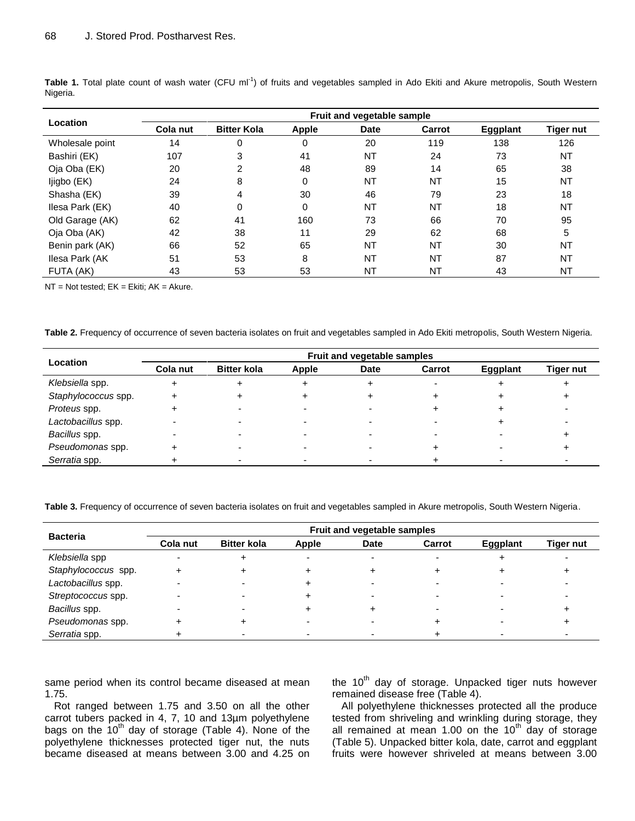| Location        | Fruit and vegetable sample |                    |              |             |           |                 |                  |  |  |  |
|-----------------|----------------------------|--------------------|--------------|-------------|-----------|-----------------|------------------|--|--|--|
|                 | Cola nut                   | <b>Bitter Kola</b> | <b>Apple</b> | <b>Date</b> | Carrot    | <b>Eggplant</b> | <b>Tiger nut</b> |  |  |  |
| Wholesale point | 14                         | 0                  | 0            | 20          | 119       | 138             | 126              |  |  |  |
| Bashiri (EK)    | 107                        | 3                  | 41           | <b>NT</b>   | 24        | 73              | NT               |  |  |  |
| Oja Oba (EK)    | 20                         | 2                  | 48           | 89          | 14        | 65              | 38               |  |  |  |
| ljigbo (EK)     | 24                         | 8                  | 0            | <b>NT</b>   | <b>NT</b> | 15              | <b>NT</b>        |  |  |  |
| Shasha (EK)     | 39                         | 4                  | 30           | 46          | 79        | 23              | 18               |  |  |  |
| Ilesa Park (EK) | 40                         | 0                  | $\Omega$     | <b>NT</b>   | <b>NT</b> | 18              | <b>NT</b>        |  |  |  |
| Old Garage (AK) | 62                         | 41                 | 160          | 73          | 66        | 70              | 95               |  |  |  |
| Oja Oba (AK)    | 42                         | 38                 | 11           | 29          | 62        | 68              | 5                |  |  |  |
| Benin park (AK) | 66                         | 52                 | 65           | <b>NT</b>   | <b>NT</b> | 30              | <b>NT</b>        |  |  |  |
| Ilesa Park (AK  | 51                         | 53                 | 8            | <b>NT</b>   | <b>NT</b> | 87              | NT               |  |  |  |
| FUTA (AK)       | 43                         | 53                 | 53           | <b>NT</b>   | <b>NT</b> | 43              | <b>NT</b>        |  |  |  |

Table 1. Total plate count of wash water (CFU ml<sup>-1</sup>) of fruits and vegetables sampled in Ado Ekiti and Akure metropolis, South Western Nigeria.

 $NT = Not tested$ ;  $EK = Ekiti$ ;  $AK = Akure$ .

**Table 2.** Frequency of occurrence of seven bacteria isolates on fruit and vegetables sampled in Ado Ekiti metropolis, South Western Nigeria.

| Location            | Fruit and vegetable samples |                    |              |             |        |                 |           |  |
|---------------------|-----------------------------|--------------------|--------------|-------------|--------|-----------------|-----------|--|
|                     | Cola nut                    | <b>Bitter kola</b> | <b>Apple</b> | <b>Date</b> | Carrot | <b>Eggplant</b> | Tiger nut |  |
| Klebsiella spp.     |                             |                    |              |             |        |                 |           |  |
| Staphylococcus spp. |                             |                    |              |             |        |                 |           |  |
| Proteus spp.        |                             |                    |              |             |        |                 |           |  |
| Lactobacillus spp.  |                             |                    |              |             |        |                 |           |  |
| Bacillus spp.       |                             |                    |              |             |        |                 |           |  |
| Pseudomonas spp.    |                             |                    |              |             |        |                 |           |  |
| Serratia spp.       |                             |                    |              |             |        |                 |           |  |

**Table 3.** Frequency of occurrence of seven bacteria isolates on fruit and vegetables sampled in Akure metropolis, South Western Nigeria.

| <b>Bacteria</b>     | Fruit and vegetable samples |                    |              |      |        |                 |           |  |
|---------------------|-----------------------------|--------------------|--------------|------|--------|-----------------|-----------|--|
|                     | Cola nut                    | <b>Bitter kola</b> | <b>Apple</b> | Date | Carrot | <b>Eggplant</b> | Tiger nut |  |
| Klebsiella spp      |                             |                    |              |      |        |                 |           |  |
| Staphylococcus spp. |                             |                    |              |      |        |                 |           |  |
| Lactobacillus spp.  |                             |                    |              |      |        |                 |           |  |
| Streptococcus spp.  |                             |                    |              |      |        |                 |           |  |
| Bacillus spp.       |                             |                    |              |      |        |                 |           |  |
| Pseudomonas spp.    |                             |                    |              |      |        |                 |           |  |
| Serratia spp.       |                             |                    |              |      |        |                 |           |  |

same period when its control became diseased at mean 1.75.

Rot ranged between 1.75 and 3.50 on all the other carrot tubers packed in 4, 7, 10 and 13µm polyethylene bags on the  $10<sup>th</sup>$  day of storage (Table 4). None of the polyethylene thicknesses protected tiger nut, the nuts became diseased at means between 3.00 and 4.25 on the 10<sup>th</sup> day of storage. Unpacked tiger nuts however remained disease free (Table 4).

All polyethylene thicknesses protected all the produce tested from shriveling and wrinkling during storage, they all remained at mean 1.00 on the  $10<sup>th</sup>$  day of storage (Table 5). Unpacked bitter kola, date, carrot and eggplant fruits were however shriveled at means between 3.00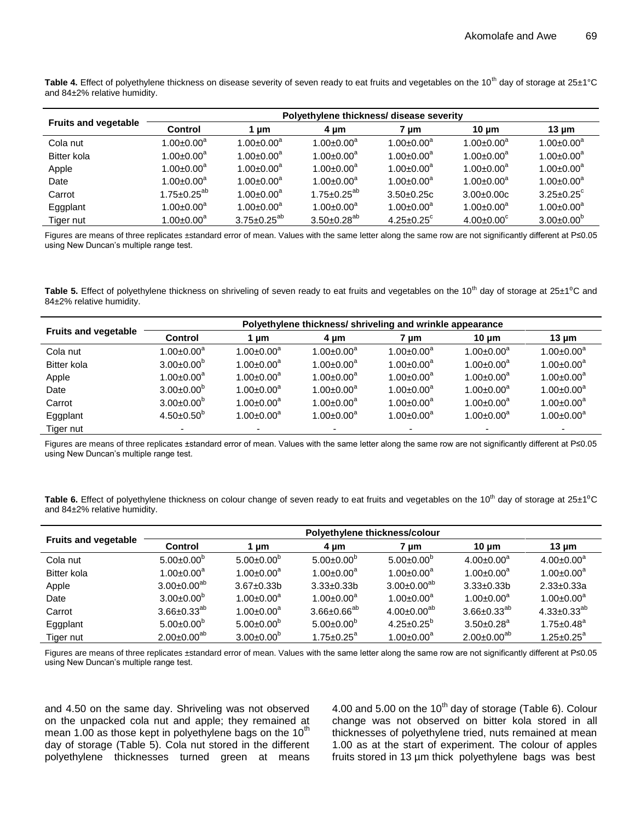Table 4. Effect of polyethylene thickness on disease severity of seven ready to eat fruits and vegetables on the 10<sup>th</sup> day of storage at 25±1°C and 84±2% relative humidity.

|                             | Polyethylene thickness/ disease severity |                              |                      |                              |                         |                              |  |  |
|-----------------------------|------------------------------------------|------------------------------|----------------------|------------------------------|-------------------------|------------------------------|--|--|
| <b>Fruits and vegetable</b> | <b>Control</b>                           | 1 µm                         | 4 um                 | 7 µm                         | 10 $\mu$ m              | 13 $\mu$ m                   |  |  |
| Cola nut                    | $1.00 \pm 0.00$ <sup>a</sup>             | $1.00 \pm 0.00^a$            | $1.00 \pm 0.00^a$    | $1.00 \pm 0.00^a$            | $1.00 \pm 0.00^a$       | $1.00 \pm 0.00^a$            |  |  |
| Bitter kola                 | $1.00 \pm 0.00^a$                        | $1.00 \pm 0.00$ <sup>a</sup> | $1.00 \pm 0.00^a$    | $1.00 \pm 0.00^a$            | $1.00 \pm 0.00^a$       | $1.00 \pm 0.00^a$            |  |  |
| Apple                       | $1.00 \pm 0.00^a$                        | $1.00 \pm 0.00$ <sup>a</sup> | $1.00 \pm 0.00^a$    | $1.00 \pm 0.00^a$            | $1.00 \pm 0.00^a$       | $1.00 \pm 0.00^a$            |  |  |
| Date                        | $1.00 \pm 0.00^a$                        | $1.00 \pm 0.00$ <sup>a</sup> | $1.00 \pm 0.00^a$    | $1.00 \pm 0.00^a$            | $1.00 \pm 0.00^a$       | $1.00 \pm 0.00^a$            |  |  |
| Carrot                      | $1.75 \pm 0.25^{ab}$                     | $1.00 \pm 0.00^a$            | $1.75 \pm 0.25^{ab}$ | $3.50+0.25c$                 | $3.00 \pm 0.00c$        | $3.25 \pm 0.25$ <sup>c</sup> |  |  |
| Eggplant                    | $1.00 \pm 0.00^a$                        | $1.00 \pm 0.00$ <sup>a</sup> | $1.00 \pm 0.00^a$    | $1.00 \pm 0.00^a$            | $1.00 \pm 0.00^a$       | $1.00 \pm 0.00^a$            |  |  |
| Tiger nut                   | $1.00 \pm 0.00^a$                        | $3.75 \pm 0.25^{ab}$         | $3.50 \pm 0.28^{ab}$ | $4.25 \pm 0.25$ <sup>c</sup> | $4.00 \pm 0.00^{\circ}$ | $3.00 \pm 0.00^b$            |  |  |

Figures are means of three replicates ±standard error of mean. Values with the same letter along the same row are not significantly different at P≤0.05 using New Duncan's multiple range test.

Table 5. Effect of polyethylene thickness on shriveling of seven ready to eat fruits and vegetables on the 10<sup>th</sup> day of storage at 25±1<sup>o</sup>C and 84±2% relative humidity.

|                             | Polyethylene thickness/ shriveling and wrinkle appearance |                              |                   |                   |                          |                   |  |  |
|-----------------------------|-----------------------------------------------------------|------------------------------|-------------------|-------------------|--------------------------|-------------------|--|--|
| <b>Fruits and vegetable</b> | <b>Control</b>                                            | 1 µm                         | 4 um              | 7 µm              | $10 \mu m$               | 13 $\mu$ m        |  |  |
| Cola nut                    | 1.00 $\pm$ 0.00 $^{\rm a}$                                | $1.00 \pm 0.00$ <sup>a</sup> | $1.00 \pm 0.00^a$ | $1.00 \pm 0.00^a$ | $1.00 \pm 0.00^a$        | $1.00 \pm 0.00^a$ |  |  |
| <b>Bitter kola</b>          | $3.00 \pm 0.00^b$                                         | $1.00 \pm 0.00^a$            | $1.00 \pm 0.00^a$ | $1.00 \pm 0.00^a$ | $1.00 \pm 0.00^a$        | $1.00 \pm 0.00^a$ |  |  |
| Apple                       | $1.00 \pm 0.00^a$                                         | $1.00 \pm 0.00^a$            | $1.00 \pm 0.00^a$ | $1.00 \pm 0.00^a$ | $1.00 \pm 0.00^a$        | $1.00 \pm 0.00^a$ |  |  |
| Date                        | $3.00 \pm 0.00^b$                                         | $1.00 \pm 0.00^a$            | $1.00 \pm 0.00^a$ | $1.00 \pm 0.00^a$ | $1.00 \pm 0.00^a$        | $1.00 \pm 0.00^a$ |  |  |
| Carrot                      | $3.00 \pm 0.00^b$                                         | $1.00 \pm 0.00^a$            | $1.00 \pm 0.00^a$ | $1.00 \pm 0.00^a$ | $1.00 \pm 0.00^a$        | $1.00 \pm 0.00^a$ |  |  |
| Eggplant                    | $4.50 \pm 0.50^b$                                         | $1.00 \pm 0.00^a$            | $1.00 \pm 0.00^a$ | $1.00 \pm 0.00^a$ | $1.00 \pm 0.00^a$        | $1.00 \pm 0.00^a$ |  |  |
| Tiger nut                   | $\overline{\phantom{0}}$                                  |                              |                   |                   | $\overline{\phantom{0}}$ |                   |  |  |

Figures are means of three replicates ±standard error of mean. Values with the same letter along the same row are not significantly different at P≤0.05 using New Duncan's multiple range test.

Table 6. Effect of polyethylene thickness on colour change of seven ready to eat fruits and vegetables on the 10<sup>th</sup> day of storage at 25±1<sup>o</sup>C and 84±2% relative humidity.

|                             | Polyethylene thickness/colour |                              |                              |                              |                              |                      |  |  |
|-----------------------------|-------------------------------|------------------------------|------------------------------|------------------------------|------------------------------|----------------------|--|--|
| <b>Fruits and vegetable</b> | Control                       | um                           | 4 um                         | 7 um                         | $10 \text{ µm}$              | 13 $\mu$ m           |  |  |
| Cola nut                    | $5.00 \pm 0.00^{\circ}$       | $5.00 \pm 0.00^{\circ}$      | $5.00 \pm 0.00^{\circ}$      | $5.00 \pm 0.00^6$            | $4.00 \pm 0.00^a$            | $4.00 \pm 0.00^a$    |  |  |
| <b>Bitter kola</b>          | $1.00 \pm 0.00^a$             | $1.00 \pm 0.00$ <sup>a</sup> | $1.00 \pm 0.00$ <sup>a</sup> | $1.00 \pm 0.00$ <sup>a</sup> | $1.00 \pm 0.00$ <sup>a</sup> | $1.00 \pm 0.00^a$    |  |  |
| Apple                       | $3.00 \pm 0.00^{ab}$          | $3.67 \pm 0.33$ b            | $3.33 \pm 0.33 b$            | $3.00 \pm 0.00^{ab}$         | $3.33 \pm 0.33 b$            | $2.33 \pm 0.33a$     |  |  |
| Date                        | $3.00 \pm 0.00^b$             | $1.00 \pm 0.00$ <sup>a</sup> | $1.00 \pm 0.00$ <sup>a</sup> | $1.00 \pm 0.00^a$            | $1.00 \pm 0.00$ <sup>a</sup> | $1.00 \pm 0.00^a$    |  |  |
| Carrot                      | $3.66 \pm 0.33^{ab}$          | $1.00 \pm 0.00$ <sup>a</sup> | $3.66 \pm 0.66^{ab}$         | $4.00 \pm 0.00^{ab}$         | $3.66 \pm 0.33^{ab}$         | $4.33 \pm 0.33^{ab}$ |  |  |
| Eggplant                    | $5.00 \pm 0.00^b$             | $5.00 \pm 0.00^{\circ}$      | $5.00 \pm 0.00^b$            | $4.25 \pm 0.25^{\circ}$      | $3.50 \pm 0.28$ <sup>a</sup> | $1.75 \pm 0.48^a$    |  |  |
| Tiger nut                   | $2.00 \pm 0.00^{ab}$          | $3.00 \pm 0.00^{\circ}$      | $1.75 \pm 0.25^a$            | $1.00 \pm 0.00^a$            | $2.00 \pm 0.00^{ab}$         | $1.25 \pm 0.25^a$    |  |  |

Figures are means of three replicates ±standard error of mean. Values with the same letter along the same row are not significantly different at P≤0.05 using New Duncan's multiple range test.

and 4.50 on the same day. Shriveling was not observed on the unpacked cola nut and apple; they remained at mean 1.00 as those kept in polyethylene bags on the  $10<sup>th</sup>$ day of storage (Table 5). Cola nut stored in the different polyethylene thicknesses turned green at means 4.00 and 5.00 on the 10<sup>th</sup> day of storage (Table 6). Colour change was not observed on bitter kola stored in all thicknesses of polyethylene tried, nuts remained at mean 1.00 as at the start of experiment. The colour of apples fruits stored in 13 µm thick polyethylene bags was best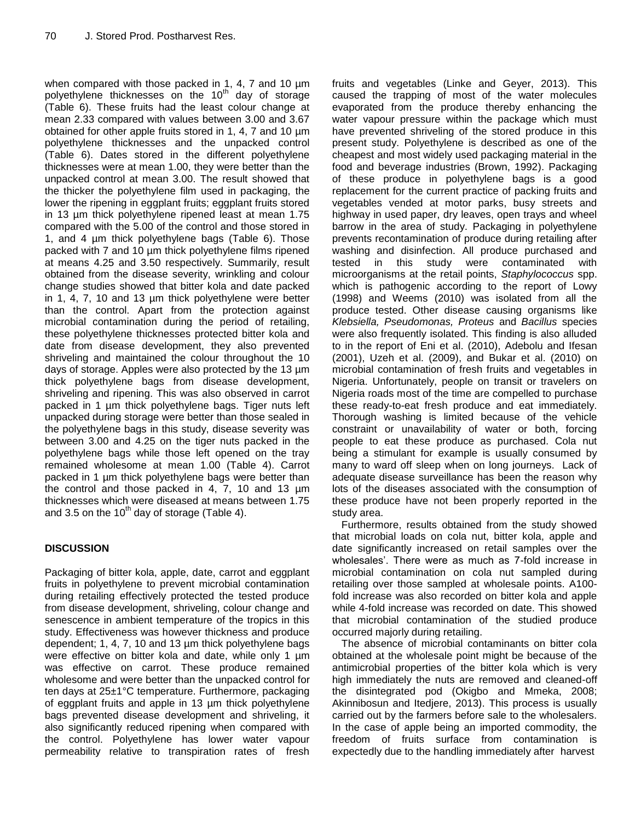when compared with those packed in 1, 4, 7 and 10  $\mu$ m polyethylene thicknesses on the 10<sup>th</sup> day of storage (Table 6). These fruits had the least colour change at mean 2.33 compared with values between 3.00 and 3.67 obtained for other apple fruits stored in 1, 4, 7 and 10 µm polyethylene thicknesses and the unpacked control (Table 6). Dates stored in the different polyethylene thicknesses were at mean 1.00, they were better than the unpacked control at mean 3.00. The result showed that the thicker the polyethylene film used in packaging, the lower the ripening in eggplant fruits; eggplant fruits stored in 13 µm thick polyethylene ripened least at mean 1.75 compared with the 5.00 of the control and those stored in 1, and 4 µm thick polyethylene bags (Table 6). Those packed with 7 and 10 um thick polyethylene films ripened at means 4.25 and 3.50 respectively. Summarily, result obtained from the disease severity, wrinkling and colour change studies showed that bitter kola and date packed in 1, 4, 7, 10 and 13 µm thick polyethylene were better than the control. Apart from the protection against microbial contamination during the period of retailing, these polyethylene thicknesses protected bitter kola and date from disease development, they also prevented shriveling and maintained the colour throughout the 10 days of storage. Apples were also protected by the 13 µm thick polyethylene bags from disease development, shriveling and ripening. This was also observed in carrot packed in 1 µm thick polyethylene bags. Tiger nuts left unpacked during storage were better than those sealed in the polyethylene bags in this study, disease severity was between 3.00 and 4.25 on the tiger nuts packed in the polyethylene bags while those left opened on the tray remained wholesome at mean 1.00 (Table 4). Carrot packed in 1 µm thick polyethylene bags were better than the control and those packed in 4, 7, 10 and 13  $\mu$ m thicknesses which were diseased at means between 1.75 and 3.5 on the  $10^{th}$  day of storage (Table 4).

# **DISCUSSION**

Packaging of bitter kola, apple, date, carrot and eggplant fruits in polyethylene to prevent microbial contamination during retailing effectively protected the tested produce from disease development, shriveling, colour change and senescence in ambient temperature of the tropics in this study. Effectiveness was however thickness and produce dependent; 1, 4, 7, 10 and 13 µm thick polyethylene bags were effective on bitter kola and date, while only 1  $\mu$ m was effective on carrot. These produce remained wholesome and were better than the unpacked control for ten days at 25±1°C temperature. Furthermore, packaging of eggplant fruits and apple in 13 µm thick polyethylene bags prevented disease development and shriveling, it also significantly reduced ripening when compared with the control. Polyethylene has lower water vapour permeability relative to transpiration rates of fresh fruits and vegetables (Linke and Geyer, 2013). This caused the trapping of most of the water molecules evaporated from the produce thereby enhancing the water vapour pressure within the package which must have prevented shriveling of the stored produce in this present study. Polyethylene is described as one of the cheapest and most widely used packaging material in the food and beverage industries (Brown, 1992). Packaging of these produce in polyethylene bags is a good replacement for the current practice of packing fruits and vegetables vended at motor parks, busy streets and highway in used paper, dry leaves, open trays and wheel barrow in the area of study. Packaging in polyethylene prevents recontamination of produce during retailing after washing and disinfection. All produce purchased and tested in this study were contaminated with microorganisms at the retail points, *Staphylococcus* spp. which is pathogenic according to the report of Lowy (1998) and Weems (2010) was isolated from all the produce tested. Other disease causing organisms like *Klebsiella, Pseudomonas, Proteus* and *Bacillus* species were also frequently isolated. This finding is also alluded to in the report of Eni et al. (2010), Adebolu and Ifesan (2001), Uzeh et al. (2009), and Bukar et al. (2010) on microbial contamination of fresh fruits and vegetables in Nigeria. Unfortunately, people on transit or travelers on Nigeria roads most of the time are compelled to purchase these ready-to-eat fresh produce and eat immediately. Thorough washing is limited because of the vehicle constraint or unavailability of water or both, forcing people to eat these produce as purchased. Cola nut being a stimulant for example is usually consumed by many to ward off sleep when on long journeys. Lack of adequate disease surveillance has been the reason why lots of the diseases associated with the consumption of these produce have not been properly reported in the study area.

Furthermore, results obtained from the study showed that microbial loads on cola nut, bitter kola, apple and date significantly increased on retail samples over the wholesales'. There were as much as 7-fold increase in microbial contamination on cola nut sampled during retailing over those sampled at wholesale points. A100 fold increase was also recorded on bitter kola and apple while 4-fold increase was recorded on date. This showed that microbial contamination of the studied produce occurred majorly during retailing.

The absence of microbial contaminants on bitter cola obtained at the wholesale point might be because of the antimicrobial properties of the bitter kola which is very high immediately the nuts are removed and cleaned-off the disintegrated pod (Okigbo and Mmeka, 2008; Akinnibosun and Itedjere, 2013). This process is usually carried out by the farmers before sale to the wholesalers. In the case of apple being an imported commodity, the freedom of fruits surface from contamination is expectedly due to the handling immediately after harvest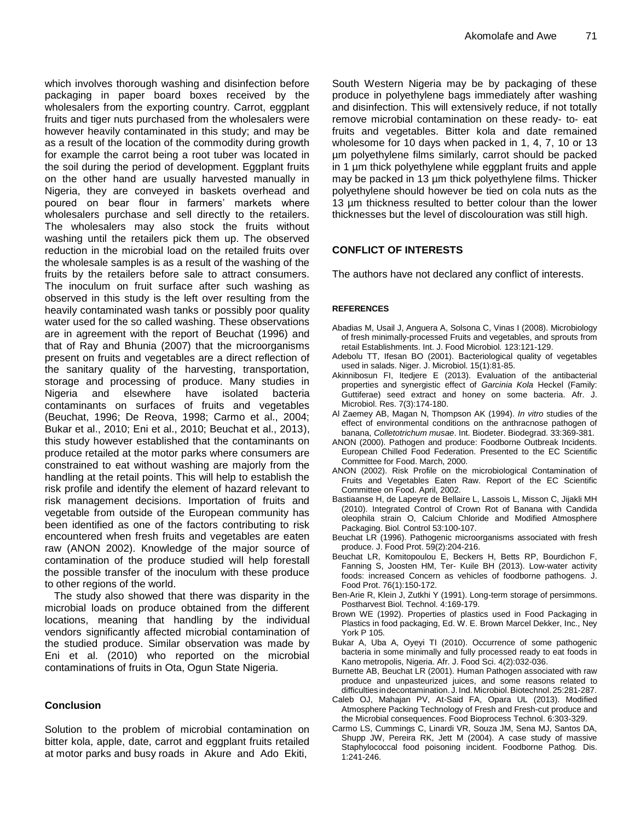which involves thorough washing and disinfection before packaging in paper board boxes received by the wholesalers from the exporting country. Carrot, eggplant fruits and tiger nuts purchased from the wholesalers were however heavily contaminated in this study; and may be as a result of the location of the commodity during growth for example the carrot being a root tuber was located in the soil during the period of development. Eggplant fruits on the other hand are usually harvested manually in Nigeria, they are conveyed in baskets overhead and poured on bear flour in farmers' markets where wholesalers purchase and sell directly to the retailers. The wholesalers may also stock the fruits without washing until the retailers pick them up. The observed reduction in the microbial load on the retailed fruits over the wholesale samples is as a result of the washing of the fruits by the retailers before sale to attract consumers. The inoculum on fruit surface after such washing as observed in this study is the left over resulting from the heavily contaminated wash tanks or possibly poor quality water used for the so called washing. These observations are in agreement with the report of Beuchat (1996) and that of Ray and Bhunia (2007) that the microorganisms present on fruits and vegetables are a direct reflection of the sanitary quality of the harvesting, transportation, storage and processing of produce. Many studies in Nigeria and elsewhere have isolated bacteria contaminants on surfaces of fruits and vegetables (Beuchat, 1996; De Reova, 1998; Carmo et al., 2004; Bukar et al., 2010; Eni et al., 2010; Beuchat et al., 2013), this study however established that the contaminants on produce retailed at the motor parks where consumers are constrained to eat without washing are majorly from the handling at the retail points. This will help to establish the risk profile and identify the element of hazard relevant to risk management decisions. Importation of fruits and vegetable from outside of the European community has been identified as one of the factors contributing to risk encountered when fresh fruits and vegetables are eaten raw (ANON 2002). Knowledge of the major source of contamination of the produce studied will help forestall the possible transfer of the inoculum with these produce to other regions of the world.

The study also showed that there was disparity in the microbial loads on produce obtained from the different locations, meaning that handling by the individual vendors significantly affected microbial contamination of the studied produce. Similar observation was made by Eni et al. (2010) who reported on the microbial contaminations of fruits in Ota, Ogun State Nigeria.

### **Conclusion**

Solution to the problem of microbial contamination on bitter kola, apple, date, carrot and eggplant fruits retailed at motor parks and busy roads in Akure and Ado Ekiti,

South Western Nigeria may be by packaging of these produce in polyethylene bags immediately after washing and disinfection. This will extensively reduce, if not totally remove microbial contamination on these ready- to- eat fruits and vegetables. Bitter kola and date remained wholesome for 10 days when packed in 1, 4, 7, 10 or 13 µm polyethylene films similarly, carrot should be packed in 1 µm thick polyethylene while eggplant fruits and apple may be packed in 13 µm thick polyethylene films. Thicker polyethylene should however be tied on cola nuts as the 13 µm thickness resulted to better colour than the lower thicknesses but the level of discolouration was still high.

# **CONFLICT OF INTERESTS**

The authors have not declared any conflict of interests.

#### **REFERENCES**

- Abadias M, Usail J, Anguera A, Solsona C, Vinas I (2008). Microbiology of fresh minimally-processed Fruits and vegetables, and sprouts from retail Establishments. Int. J. Food Microbiol*.* 123:121-129.
- Adebolu TT, Ifesan BO (2001). Bacteriological quality of vegetables used in salads. Niger. J. Microbiol. 15(1):81-85.
- Akinnibosun FI, Itedjere E (2013). Evaluation of the antibacterial properties and synergistic effect of *Garcinia Kola* Heckel (Family: Guttiferae) seed extract and honey on some bacteria. Afr. J. Microbiol. Res. 7(3):174-180.
- Al Zaemey AB, Magan N, Thompson AK (1994). *In vitro* studies of the effect of environmental conditions on the anthracnose pathogen of banana, *Colletotrichum musae*. Int. Biodeter. Biodegrad. 33:369-381.
- ANON (2000). Pathogen and produce: Foodborne Outbreak Incidents. European Chilled Food Federation. Presented to the EC Scientific Committee for Food. March, 2000.
- ANON (2002). Risk Profile on the microbiological Contamination of Fruits and Vegetables Eaten Raw. Report of the EC Scientific Committee on Food. April, 2002.
- Bastiaanse H, de Lapeyre de Bellaire L, Lassois L, Misson C, Jijakli MH (2010). Integrated Control of Crown Rot of Banana with Candida oleophila strain O, Calcium Chloride and Modified Atmosphere Packaging. Biol*.* Control 53:100-107.
- Beuchat LR (1996). Pathogenic microorganisms associated with fresh produce. J. Food Prot. 59(2):204-216.
- Beuchat LR, Komitopoulou E, Beckers H, Betts RP, Bourdichon F, Fanning S, Joosten HM, Ter- Kuile BH (2013). Low-water activity foods: increased Concern as vehicles of foodborne pathogens. J. Food Prot. 76(1):150-172.
- Ben-Arie R, Klein J, Zutkhi Y (1991). Long-term storage of persimmons. Postharvest Biol. Technol. 4:169-179.
- Brown WE (1992). Properties of plastics used in Food Packaging in Plastics in food packaging, Ed. W. E. Brown Marcel Dekker, Inc., Ney York P 105.
- Bukar A, Uba A, Oyeyi TI (2010). Occurrence of some pathogenic bacteria in some minimally and fully processed ready to eat foods in Kano metropolis, Nigeria. Afr. J. Food Sci. 4(2):032-036.
- Burnette AB, Beuchat LR (2001). Human Pathogen associated with raw produce and unpasteurized juices, and some reasons related to difficulties in decontamination. J. Ind. Microbiol. Biotechnol. 25:281-287.
- Caleb OJ, Mahajan PV, At-Said FA, Opara UL (2013). Modified Atmosphere Packing Technology of Fresh and Fresh-cut produce and the Microbial consequences. Food Bioprocess Technol. 6:303-329.
- Carmo LS, Cummings C, Linardi VR, Souza JM, Sena MJ, Santos DA, Shupp JW, Pereira RK, Jett M (2004). A case study of massive Staphylococcal food poisoning incident. Foodborne Pathog*.* Dis. 1:241-246.